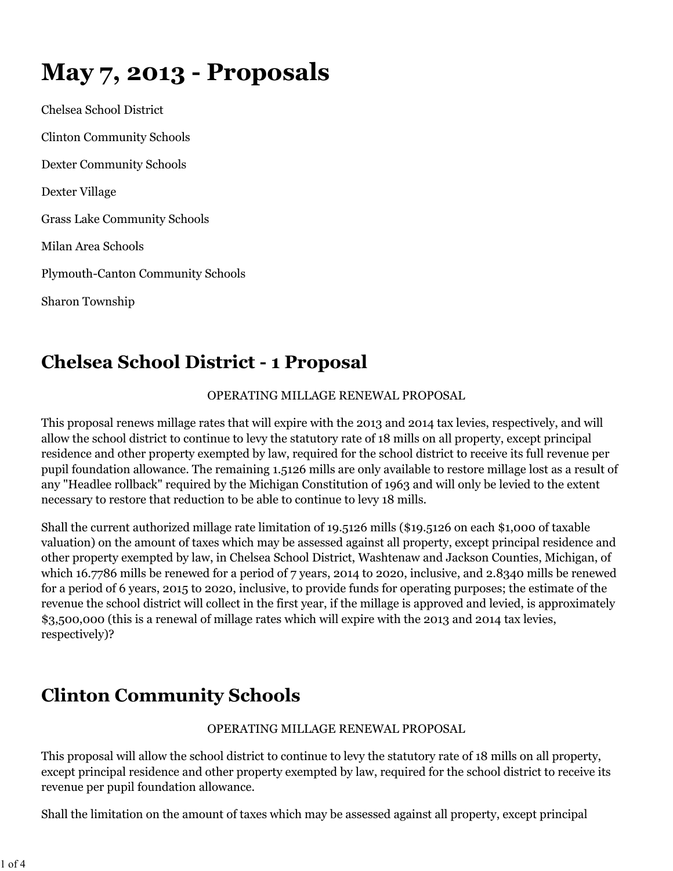# **May 7, 2013 - Proposals**

Chelsea School District Clinton Community Schools Dexter Community Schools Dexter Village Grass Lake Community Schools Milan Area Schools Plymouth-Canton Community Schools Sharon Township

## **Chelsea School District - 1 Proposal**

#### OPERATING MILLAGE RENEWAL PROPOSAL

This proposal renews millage rates that will expire with the 2013 and 2014 tax levies, respectively, and will allow the school district to continue to levy the statutory rate of 18 mills on all property, except principal residence and other property exempted by law, required for the school district to receive its full revenue per pupil foundation allowance. The remaining 1.5126 mills are only available to restore millage lost as a result of any "Headlee rollback" required by the Michigan Constitution of 1963 and will only be levied to the extent necessary to restore that reduction to be able to continue to levy 18 mills.

Shall the current authorized millage rate limitation of 19.5126 mills (\$19.5126 on each \$1,000 of taxable valuation) on the amount of taxes which may be assessed against all property, except principal residence and other property exempted by law, in Chelsea School District, Washtenaw and Jackson Counties, Michigan, of which 16.7786 mills be renewed for a period of 7 years, 2014 to 2020, inclusive, and 2.8340 mills be renewed for a period of 6 years, 2015 to 2020, inclusive, to provide funds for operating purposes; the estimate of the revenue the school district will collect in the first year, if the millage is approved and levied, is approximately \$3,500,000 (this is a renewal of millage rates which will expire with the 2013 and 2014 tax levies, respectively)?

### **Clinton Community Schools**

#### OPERATING MILLAGE RENEWAL PROPOSAL

This proposal will allow the school district to continue to levy the statutory rate of 18 mills on all property, except principal residence and other property exempted by law, required for the school district to receive its revenue per pupil foundation allowance.

Shall the limitation on the amount of taxes which may be assessed against all property, except principal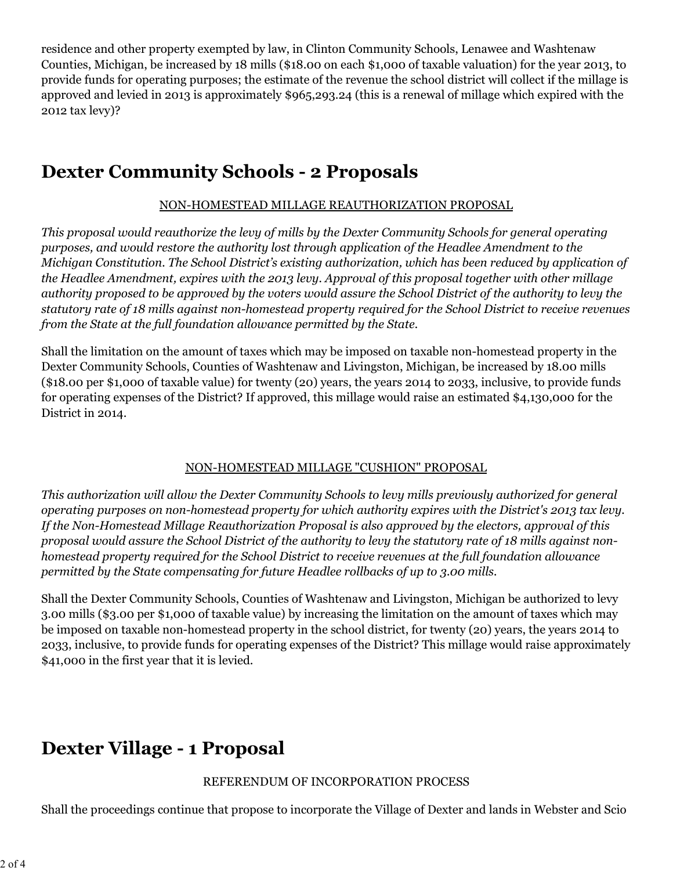residence and other property exempted by law, in Clinton Community Schools, Lenawee and Washtenaw Counties, Michigan, be increased by 18 mills (\$18.00 on each \$1,000 of taxable valuation) for the year 2013, to provide funds for operating purposes; the estimate of the revenue the school district will collect if the millage is approved and levied in 2013 is approximately \$965,293.24 (this is a renewal of millage which expired with the 2012 tax levy)?

### **Dexter Community Schools - 2 Proposals**

#### NON-HOMESTEAD MILLAGE REAUTHORIZATION PROPOSAL

*This proposal would reauthorize the levy of mills by the Dexter Community Schools for general operating purposes, and would restore the authority lost through application of the Headlee Amendment to the Michigan Constitution. The School District's existing authorization, which has been reduced by application of the Headlee Amendment, expires with the 2013 levy. Approval of this proposal together with other millage authority proposed to be approved by the voters would assure the School District of the authority to levy the statutory rate of 18 mills against non-homestead property required for the School District to receive revenues from the State at the full foundation allowance permitted by the State.*

Shall the limitation on the amount of taxes which may be imposed on taxable non-homestead property in the Dexter Community Schools, Counties of Washtenaw and Livingston, Michigan, be increased by 18.00 mills (\$18.00 per \$1,000 of taxable value) for twenty (20) years, the years 2014 to 2033, inclusive, to provide funds for operating expenses of the District? If approved, this millage would raise an estimated \$4,130,000 for the District in 2014.

#### NON-HOMESTEAD MILLAGE "CUSHION" PROPOSAL

*This authorization will allow the Dexter Community Schools to levy mills previously authorized for general operating purposes on non-homestead property for which authority expires with the District's 2013 tax levy. If the Non-Homestead Millage Reauthorization Proposal is also approved by the electors, approval of this proposal would assure the School District of the authority to levy the statutory rate of 18 mills against nonhomestead property required for the School District to receive revenues at the full foundation allowance permitted by the State compensating for future Headlee rollbacks of up to 3.00 mills.*

Shall the Dexter Community Schools, Counties of Washtenaw and Livingston, Michigan be authorized to levy 3.00 mills (\$3.00 per \$1,000 of taxable value) by increasing the limitation on the amount of taxes which may be imposed on taxable non-homestead property in the school district, for twenty (20) years, the years 2014 to 2033, inclusive, to provide funds for operating expenses of the District? This millage would raise approximately \$41,000 in the first year that it is levied.

### **Dexter Village - 1 Proposal**

#### REFERENDUM OF INCORPORATION PROCESS

Shall the proceedings continue that propose to incorporate the Village of Dexter and lands in Webster and Scio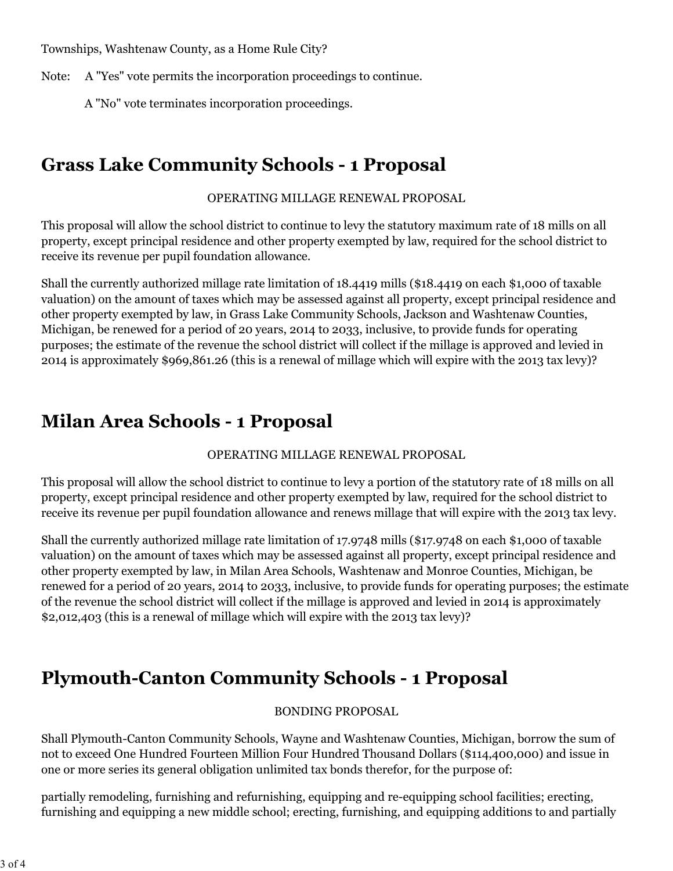Townships, Washtenaw County, as a Home Rule City?

Note: A "Yes" vote permits the incorporation proceedings to continue.

A "No" vote terminates incorporation proceedings.

### **Grass Lake Community Schools - 1 Proposal**

OPERATING MILLAGE RENEWAL PROPOSAL

This proposal will allow the school district to continue to levy the statutory maximum rate of 18 mills on all property, except principal residence and other property exempted by law, required for the school district to receive its revenue per pupil foundation allowance.

Shall the currently authorized millage rate limitation of 18.4419 mills (\$18.4419 on each \$1,000 of taxable valuation) on the amount of taxes which may be assessed against all property, except principal residence and other property exempted by law, in Grass Lake Community Schools, Jackson and Washtenaw Counties, Michigan, be renewed for a period of 20 years, 2014 to 2033, inclusive, to provide funds for operating purposes; the estimate of the revenue the school district will collect if the millage is approved and levied in 2014 is approximately \$969,861.26 (this is a renewal of millage which will expire with the 2013 tax levy)?

### **Milan Area Schools - 1 Proposal**

OPERATING MILLAGE RENEWAL PROPOSAL

This proposal will allow the school district to continue to levy a portion of the statutory rate of 18 mills on all property, except principal residence and other property exempted by law, required for the school district to receive its revenue per pupil foundation allowance and renews millage that will expire with the 2013 tax levy.

Shall the currently authorized millage rate limitation of 17.9748 mills (\$17.9748 on each \$1,000 of taxable valuation) on the amount of taxes which may be assessed against all property, except principal residence and other property exempted by law, in Milan Area Schools, Washtenaw and Monroe Counties, Michigan, be renewed for a period of 20 years, 2014 to 2033, inclusive, to provide funds for operating purposes; the estimate of the revenue the school district will collect if the millage is approved and levied in 2014 is approximately \$2,012,403 (this is a renewal of millage which will expire with the 2013 tax levy)?

### **Plymouth-Canton Community Schools - 1 Proposal**

#### BONDING PROPOSAL

Shall Plymouth-Canton Community Schools, Wayne and Washtenaw Counties, Michigan, borrow the sum of not to exceed One Hundred Fourteen Million Four Hundred Thousand Dollars (\$114,400,000) and issue in one or more series its general obligation unlimited tax bonds therefor, for the purpose of:

partially remodeling, furnishing and refurnishing, equipping and re-equipping school facilities; erecting, furnishing and equipping a new middle school; erecting, furnishing, and equipping additions to and partially